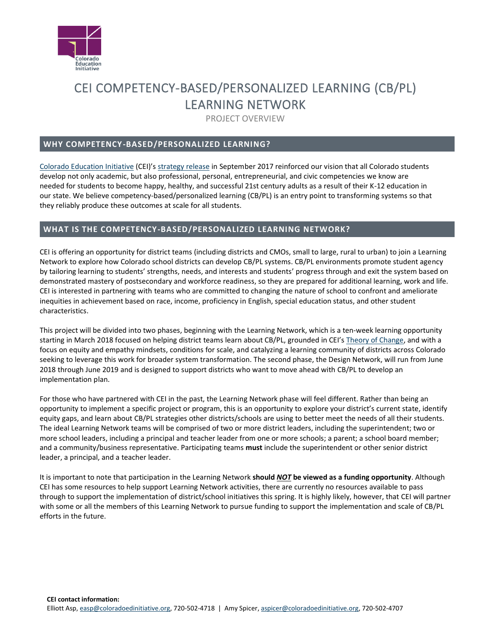

# CEI COMPETENCY-BASED/PERSONALIZED LEARNING (CB/PL) LEARNING NETWORK

PROJECT OVERVIEW

### **WHY COMPETENCY-BASED/PERSONALIZED LEARNING?**

[Colorado Education Initiative](http://www.coloradoedinitiative.org/) (CEI)'s [strategy release](http://www.coloradoedinitiative.org/wp-content/uploads/2017/09/cei_overview_15Sep2017_final.pdf) in September 2017 reinforced our vision that all Colorado students develop not only academic, but also professional, personal, entrepreneurial, and civic competencies we know are needed for students to become happy, healthy, and successful 21st century adults as a result of their K-12 education in our state. We believe competency-based/personalized learning (CB/PL) is an entry point to transforming systems so that they reliably produce these outcomes at scale for all students.

# **WHAT IS THE COMPETENCY-BASED/PERSONALIZED LEARNING NETWORK?**

CEI is offering an opportunity for district teams (including districts and CMOs, small to large, rural to urban) to join a Learning Network to explore how Colorado school districts can develop CB/PL systems. CB/PL environments promote student agency by tailoring learning to students' strengths, needs, and interests and students' progress through and exit the system based on demonstrated mastery of postsecondary and workforce readiness, so they are prepared for additional learning, work and life. CEI is interested in partnering with teams who are committed to changing the nature of school to confront and ameliorate inequities in achievement based on race, income, proficiency in English, special education status, and other student characteristics.

This project will be divided into two phases, beginning with the Learning Network, which is a ten-week learning opportunity starting in March 2018 focused on helping district teams learn about CB/PL, grounded in CEI's [Theory of Change,](http://www.coloradoedinitiative.org/wp-content/uploads/2018/01/CEI_CBPL_TheoryofChange_Jan2018.pdf) and with a focus on equity and empathy mindsets, conditions for scale, and catalyzing a learning community of districts across Colorado seeking to leverage this work for broader system transformation. The second phase, the Design Network, will run from June 2018 through June 2019 and is designed to support districts who want to move ahead with CB/PL to develop an implementation plan.

For those who have partnered with CEI in the past, the Learning Network phase will feel different. Rather than being an opportunity to implement a specific project or program, this is an opportunity to explore your district's current state, identify equity gaps, and learn about CB/PL strategies other districts/schools are using to better meet the needs of all their students. The ideal Learning Network teams will be comprised of two or more district leaders, including the superintendent; two or more school leaders, including a principal and teacher leader from one or more schools; a parent; a school board member; and a community/business representative. Participating teams **must** include the superintendent or other senior district leader, a principal, and a teacher leader.

It is important to note that participation in the Learning Network **should** *NOT* **be viewed as a funding opportunity**. Although CEI has some resources to help support Learning Network activities, there are currently no resources available to pass through to support the implementation of district/school initiatives this spring. It is highly likely, however, that CEI will partner with some or all the members of this Learning Network to pursue funding to support the implementation and scale of CB/PL efforts in the future.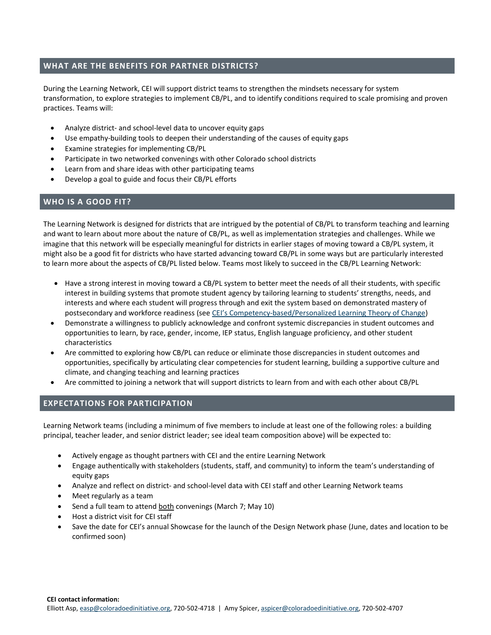## **WHAT ARE THE BENEFITS FOR PARTNER DISTRICTS?**

During the Learning Network, CEI will support district teams to strengthen the mindsets necessary for system transformation, to explore strategies to implement CB/PL, and to identify conditions required to scale promising and proven practices. Teams will:

- Analyze district- and school-level data to uncover equity gaps
- Use empathy-building tools to deepen their understanding of the causes of equity gaps
- Examine strategies for implementing CB/PL
- Participate in two networked convenings with other Colorado school districts
- Learn from and share ideas with other participating teams
- Develop a goal to guide and focus their CB/PL efforts

#### **WHO IS A GOOD FIT?**

The Learning Network is designed for districts that are intrigued by the potential of CB/PL to transform teaching and learning and want to learn about more about the nature of CB/PL, as well as implementation strategies and challenges. While we imagine that this network will be especially meaningful for districts in earlier stages of moving toward a CB/PL system, it might also be a good fit for districts who have started advancing toward CB/PL in some ways but are particularly interested to learn more about the aspects of CB/PL listed below. Teams most likely to succeed in the CB/PL Learning Network:

- Have a strong interest in moving toward a CB/PL system to better meet the needs of all their students, with specific interest in building systems that promote student agency by tailoring learning to students' strengths, needs, and interests and where each student will progress through and exit the system based on demonstrated mastery of postsecondary and workforce readiness (see CEI's Competency[-based/Personalized Learning Theory of Change\)](http://www.coloradoedinitiative.org/wp-content/uploads/2018/01/CEI_CBPL_TheoryofChange_Jan2018.pdf)
- Demonstrate a willingness to publicly acknowledge and confront systemic discrepancies in student outcomes and opportunities to learn, by race, gender, income, IEP status, English language proficiency, and other student characteristics
- Are committed to exploring how CB/PL can reduce or eliminate those discrepancies in student outcomes and opportunities, specifically by articulating clear competencies for student learning, building a supportive culture and climate, and changing teaching and learning practices
- Are committed to joining a network that will support districts to learn from and with each other about CB/PL

#### **EXPECTATIONS FOR PARTICIPATION**

Learning Network teams (including a minimum of five members to include at least one of the following roles: a building principal, teacher leader, and senior district leader; see ideal team composition above) will be expected to:

- Actively engage as thought partners with CEI and the entire Learning Network
- Engage authentically with stakeholders (students, staff, and community) to inform the team's understanding of equity gaps
- Analyze and reflect on district- and school-level data with CEI staff and other Learning Network teams
- Meet regularly as a team
- Send a full team to attend both convenings (March 7; May 10)
- Host a district visit for CEI staff
- Save the date for CEI's annual Showcase for the launch of the Design Network phase (June, dates and location to be confirmed soon)